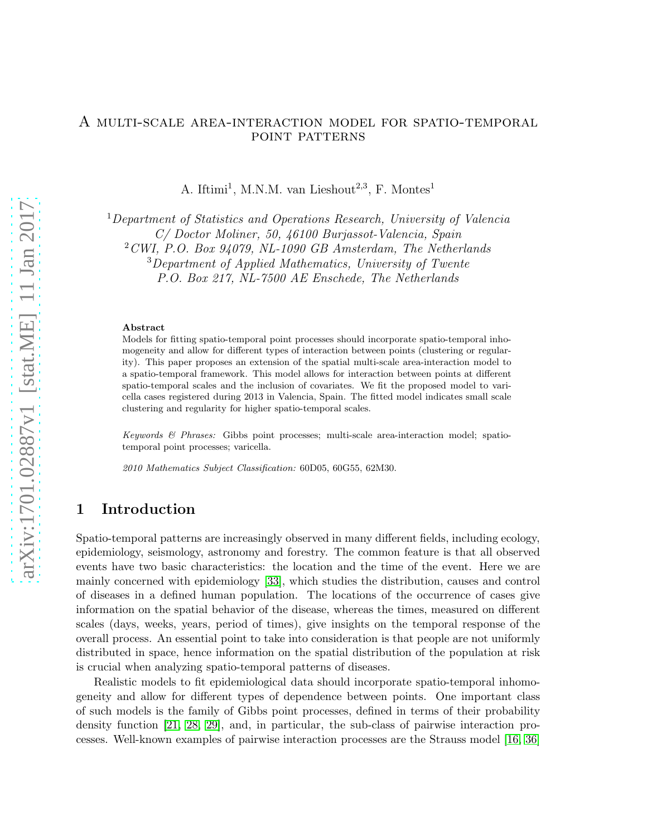#### A multi-scale area-interaction model for spatio-temporal point patterns

A. Iftimi<sup>1</sup>, M.N.M. van Lieshout<sup>2,3</sup>, F. Montes<sup>1</sup>

<sup>1</sup>Department of Statistics and Operations Research, University of Valencia C/ Doctor Moliner, 50, 46100 Burjassot-Valencia, Spain

 $2$  CWI, P.O. Box 94079, NL-1090 GB Amsterdam, The Netherlands

<sup>3</sup>Department of Applied Mathematics, University of Twente

P.O. Box 217, NL-7500 AE Enschede, The Netherlands

#### Abstract

Models for fitting spatio-temporal point processes should incorporate spatio-temporal inhomogeneity and allow for different types of interaction between points (clustering or regularity). This paper proposes an extension of the spatial multi-scale area-interaction model to a spatio-temporal framework. This model allows for interaction between points at different spatio-temporal scales and the inclusion of covariates. We fit the proposed model to varicella cases registered during 2013 in Valencia, Spain. The fitted model indicates small scale clustering and regularity for higher spatio-temporal scales.

Keywords & Phrases: Gibbs point processes; multi-scale area-interaction model; spatiotemporal point processes; varicella.

2010 Mathematics Subject Classification: 60D05, 60G55, 62M30.

## <span id="page-0-0"></span>1 Introduction

Spatio-temporal patterns are increasingly observed in many different fields, including ecology, epidemiology, seismology, astronomy and forestry. The common feature is that all observed events have two basic characteristics: the location and the time of the event. Here we are mainly concerned with epidemiology [\[33\]](#page-22-0), which studies the distribution, causes and control of diseases in a defined human population. The locations of the occurrence of cases give information on the spatial behavior of the disease, whereas the times, measured on different scales (days, weeks, years, period of times), give insights on the temporal response of the overall process. An essential point to take into consideration is that people are not uniformly distributed in space, hence information on the spatial distribution of the population at risk is crucial when analyzing spatio-temporal patterns of diseases.

Realistic models to fit epidemiological data should incorporate spatio-temporal inhomogeneity and allow for different types of dependence between points. One important class of such models is the family of Gibbs point processes, defined in terms of their probability density function [\[21,](#page-21-0) [28,](#page-21-1) [29\]](#page-21-2), and, in particular, the sub-class of pairwise interaction processes. Well-known examples of pairwise interaction processes are the Strauss model [\[16,](#page-20-0) [36\]](#page-22-1)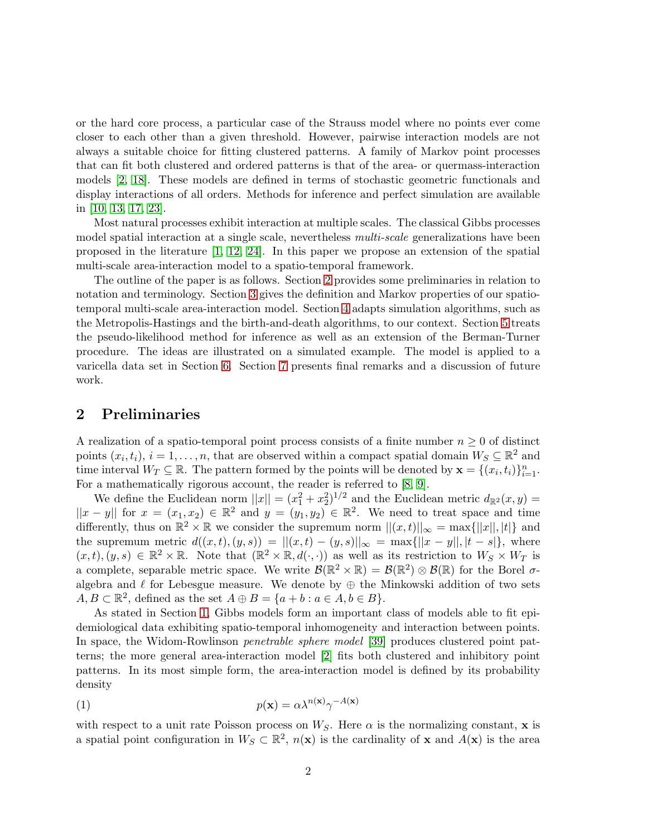or the hard core process, a particular case of the Strauss model where no points ever come closer to each other than a given threshold. However, pairwise interaction models are not always a suitable choice for fitting clustered patterns. A family of Markov point processes that can fit both clustered and ordered patterns is that of the area- or quermass-interaction models [\[2,](#page-20-1) [18\]](#page-21-3). These models are defined in terms of stochastic geometric functionals and display interactions of all orders. Methods for inference and perfect simulation are available in [\[10,](#page-20-2) [13,](#page-20-3) [17,](#page-21-4) [23\]](#page-21-5).

Most natural processes exhibit interaction at multiple scales. The classical Gibbs processes model spatial interaction at a single scale, nevertheless *multi-scale* generalizations have been proposed in the literature [\[1,](#page-19-0) [12,](#page-20-4) [24\]](#page-21-6). In this paper we propose an extension of the spatial multi-scale area-interaction model to a spatio-temporal framework.

The outline of the paper is as follows. Section [2](#page-1-0) provides some preliminaries in relation to notation and terminology. Section [3](#page-2-0) gives the definition and Markov properties of our spatiotemporal multi-scale area-interaction model. Section [4](#page-6-0) adapts simulation algorithms, such as the Metropolis-Hastings and the birth-and-death algorithms, to our context. Section [5](#page-8-0) treats the pseudo-likelihood method for inference as well as an extension of the Berman-Turner procedure. The ideas are illustrated on a simulated example. The model is applied to a varicella data set in Section [6.](#page-13-0) Section [7](#page-18-0) presents final remarks and a discussion of future work.

# <span id="page-1-0"></span>2 Preliminaries

A realization of a spatio-temporal point process consists of a finite number  $n \geq 0$  of distinct points  $(x_i, t_i)$ ,  $i = 1, \ldots, n$ , that are observed within a compact spatial domain  $W_S \subseteq \mathbb{R}^2$  and time interval  $W_T \subseteq \mathbb{R}$ . The pattern formed by the points will be denoted by  $\mathbf{x} = \{(x_i, t_i)\}_{i=1}^n$ . For a mathematically rigorous account, the reader is referred to [\[8,](#page-20-5) [9\]](#page-20-6).

We define the Euclidean norm  $||x|| = (x_1^2 + x_2^2)^{1/2}$  and the Euclidean metric  $d_{\mathbb{R}^2}(x, y) =$  $||x-y||$  for  $x = (x_1, x_2) \in \mathbb{R}^2$  and  $y = (y_1, y_2) \in \mathbb{R}^2$ . We need to treat space and time differently, thus on  $\mathbb{R}^2 \times \mathbb{R}$  we consider the supremum norm  $||(x,t)||_{\infty} = \max{||x||, |t|}$  and the supremum metric  $d((x, t), (y, s)) = ||(x, t) - (y, s)||_{\infty} = \max{||x - y||, |t - s|},$  where  $(x,t),(y,s)\in\mathbb{R}^2\times\mathbb{R}$ . Note that  $(\mathbb{R}^2\times\mathbb{R},d(\cdot,\cdot))$  as well as its restriction to  $W_S\times W_T$  is a complete, separable metric space. We write  $\mathcal{B}(\mathbb{R}^2 \times \mathbb{R}) = \mathcal{B}(\mathbb{R}^2) \otimes \mathcal{B}(\mathbb{R})$  for the Borel  $\sigma$ algebra and  $\ell$  for Lebesgue measure. We denote by  $\oplus$  the Minkowski addition of two sets  $A, B \subset \mathbb{R}^2$ , defined as the set  $A \oplus B = \{a + b : a \in A, b \in B\}.$ 

As stated in Section [1,](#page-0-0) Gibbs models form an important class of models able to fit epidemiological data exhibiting spatio-temporal inhomogeneity and interaction between points. In space, the Widom-Rowlinson *penetrable sphere model* [\[39\]](#page-22-2) produces clustered point patterns; the more general area-interaction model [\[2\]](#page-20-1) fits both clustered and inhibitory point patterns. In its most simple form, the area-interaction model is defined by its probability density

<span id="page-1-1"></span>(1) 
$$
p(\mathbf{x}) = \alpha \lambda^{n(\mathbf{x})} \gamma^{-A(\mathbf{x})}
$$

with respect to a unit rate Poisson process on  $W_S$ . Here  $\alpha$  is the normalizing constant, x is a spatial point configuration in  $W_S \subset \mathbb{R}^2$ ,  $n(\mathbf{x})$  is the cardinality of **x** and  $A(\mathbf{x})$  is the area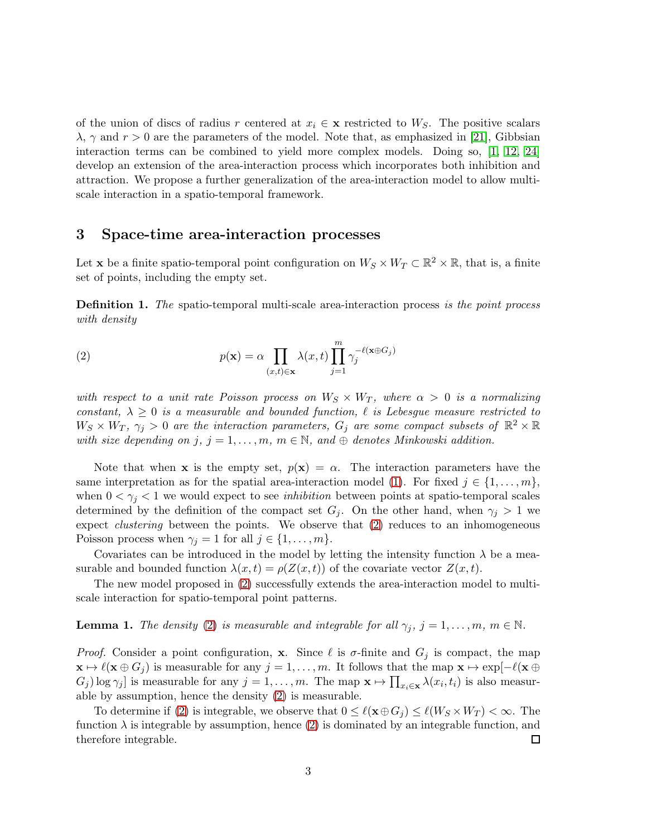of the union of discs of radius r centered at  $x_i \in \mathbf{x}$  restricted to  $W_S$ . The positive scalars  $\lambda$ ,  $\gamma$  and  $r > 0$  are the parameters of the model. Note that, as emphasized in [\[21\]](#page-21-0), Gibbsian interaction terms can be combined to yield more complex models. Doing so, [\[1,](#page-19-0) [12,](#page-20-4) [24\]](#page-21-6) develop an extension of the area-interaction process which incorporates both inhibition and attraction. We propose a further generalization of the area-interaction model to allow multiscale interaction in a spatio-temporal framework.

#### <span id="page-2-0"></span>3 Space-time area-interaction processes

Let **x** be a finite spatio-temporal point configuration on  $W_S \times W_T \subset \mathbb{R}^2 \times \mathbb{R}$ , that is, a finite set of points, including the empty set.

**Definition 1.** The spatio-temporal multi-scale area-interaction process is the point process with density

<span id="page-2-1"></span>(2) 
$$
p(\mathbf{x}) = \alpha \prod_{(x,t) \in \mathbf{x}} \lambda(x,t) \prod_{j=1}^{m} \gamma_j^{-\ell(\mathbf{x} \oplus G_j)}
$$

with respect to a unit rate Poisson process on  $W_S \times W_T$ , where  $\alpha > 0$  is a normalizing constant,  $\lambda \geq 0$  is a measurable and bounded function,  $\ell$  is Lebesgue measure restricted to  $W_S \times W_T$ ,  $\gamma_j > 0$  are the interaction parameters,  $G_j$  are some compact subsets of  $\mathbb{R}^2 \times \mathbb{R}$ with size depending on j,  $j = 1, \ldots, m, m \in \mathbb{N}$ , and  $\oplus$  denotes Minkowski addition.

Note that when x is the empty set,  $p(x) = \alpha$ . The interaction parameters have the same interpretation as for the spatial area-interaction model [\(1\)](#page-1-1). For fixed  $j \in \{1, \ldots, m\}$ , when  $0 < \gamma_j < 1$  we would expect to see *inhibition* between points at spatio-temporal scales determined by the definition of the compact set  $G_i$ . On the other hand, when  $\gamma_i > 1$  we expect *clustering* between the points. We observe that  $(2)$  reduces to an inhomogeneous Poisson process when  $\gamma_j = 1$  for all  $j \in \{1, \ldots, m\}.$ 

Covariates can be introduced in the model by letting the intensity function  $\lambda$  be a measurable and bounded function  $\lambda(x, t) = \rho(Z(x, t))$  of the covariate vector  $Z(x, t)$ .

The new model proposed in [\(2\)](#page-2-1) successfully extends the area-interaction model to multiscale interaction for spatio-temporal point patterns.

**Lemma 1.** The density [\(2\)](#page-2-1) is measurable and integrable for all  $\gamma_i$ ,  $j = 1, \ldots, m$ ,  $m \in \mathbb{N}$ .

*Proof.* Consider a point configuration, x. Since  $\ell$  is  $\sigma$ -finite and  $G_j$  is compact, the map  $\mathbf{x} \mapsto \ell(\mathbf{x} \oplus G_j)$  is measurable for any  $j = 1, \ldots, m$ . It follows that the map  $\mathbf{x} \mapsto \exp[-\ell(\mathbf{x} \oplus G_j)]$  $G_j$ ) log  $\gamma_j$ ] is measurable for any  $j = 1, ..., m$ . The map  $\mathbf{x} \mapsto \prod_{x_i \in \mathbf{x}} \lambda(x_i, t_i)$  is also measurable by assumption, hence the density [\(2\)](#page-2-1) is measurable.

To determine if [\(2\)](#page-2-1) is integrable, we observe that  $0 \leq \ell(\mathbf{x} \oplus G_i) \leq \ell(W_S \times W_T) < \infty$ . The function  $\lambda$  is integrable by assumption, hence [\(2\)](#page-2-1) is dominated by an integrable function, and therefore integrable. 口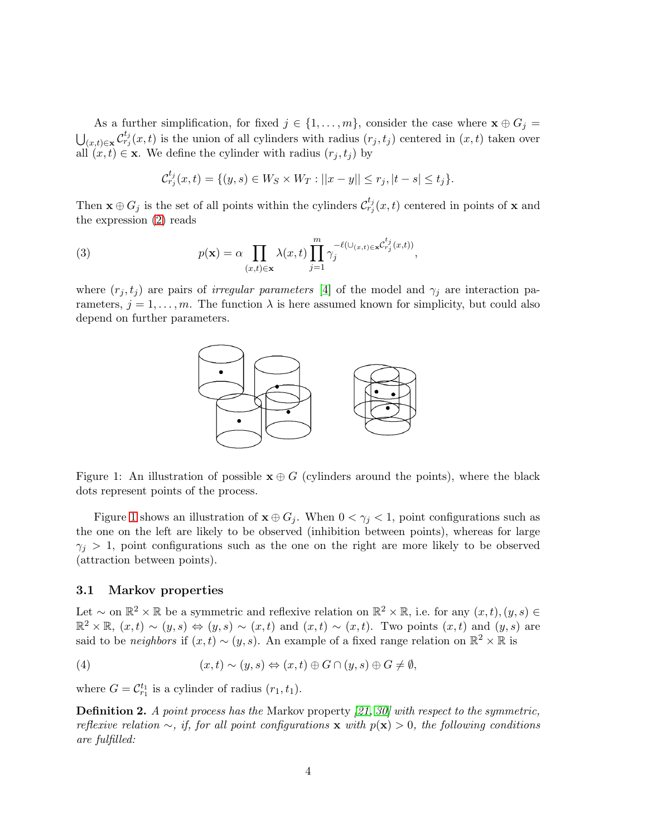As a further simplification, for fixed  $j \in \{1, \ldots, m\}$ , consider the case where  $\mathbf{x} \oplus G_j =$  $\bigcup_{(x,t)\in\mathbf{x}}\mathcal{C}_{r_j}^{t_j}(x,t)$  is the union of all cylinders with radius  $(r_j,t_j)$  centered in  $(x,t)$  taken over all  $(x, t) \in \mathbf{x}$ . We define the cylinder with radius  $(r_j, t_j)$  by

$$
\mathcal{C}_{r_j}^{t_j}(x,t) = \{(y,s) \in W_S \times W_T : ||x - y|| \le r_j, |t - s| \le t_j\}.
$$

Then  $\mathbf{x} \oplus G_j$  is the set of all points within the cylinders  $\mathcal{C}_{r_j}^{t_j}(x,t)$  centered in points of  $\mathbf{x}$  and the expression [\(2\)](#page-2-1) reads

<span id="page-3-2"></span>(3) 
$$
p(\mathbf{x}) = \alpha \prod_{(x,t) \in \mathbf{x}} \lambda(x,t) \prod_{j=1}^{m} \gamma_j^{-\ell(\cup_{(x,t) \in \mathbf{x}} \mathcal{C}_{r_j}^{t_j}(x,t))},
$$

where  $(r_i, t_j)$  are pairs of *irregular parameters* [\[4\]](#page-20-7) of the model and  $\gamma_i$  are interaction parameters,  $j = 1, \ldots, m$ . The function  $\lambda$  is here assumed known for simplicity, but could also depend on further parameters.



<span id="page-3-0"></span>Figure 1: An illustration of possible  $x \oplus G$  (cylinders around the points), where the black dots represent points of the process.

Figure [1](#page-3-0) shows an illustration of  $\mathbf{x} \oplus G_j$ . When  $0 < \gamma_j < 1$ , point configurations such as the one on the left are likely to be observed (inhibition between points), whereas for large  $\gamma_i > 1$ , point configurations such as the one on the right are more likely to be observed (attraction between points).

#### <span id="page-3-3"></span>3.1 Markov properties

Let ~ on  $\mathbb{R}^2 \times \mathbb{R}$  be a symmetric and reflexive relation on  $\mathbb{R}^2 \times \mathbb{R}$ , i.e. for any  $(x, t), (y, s) \in$  $\mathbb{R}^2 \times \mathbb{R}, (x,t) \sim (y,s) \Leftrightarrow (y,s) \sim (x,t)$  and  $(x,t) \sim (x,t)$ . Two points  $(x,t)$  and  $(y,s)$  are said to be *neighbors* if  $(x,t) \sim (y, s)$ . An example of a fixed range relation on  $\mathbb{R}^2 \times \mathbb{R}$  is

<span id="page-3-1"></span>(4) 
$$
(x,t) \sim (y,s) \Leftrightarrow (x,t) \oplus G \cap (y,s) \oplus G \neq \emptyset,
$$

where  $G = C_{r_1}^{t_1}$  is a cylinder of radius  $(r_1, t_1)$ .

**Definition 2.** A point process has the Markov property [\[21,](#page-21-0) [30\]](#page-21-7) with respect to the symmetric, reflexive relation  $\sim$ , if, for all point configurations x with  $p(x) > 0$ , the following conditions are fulfilled: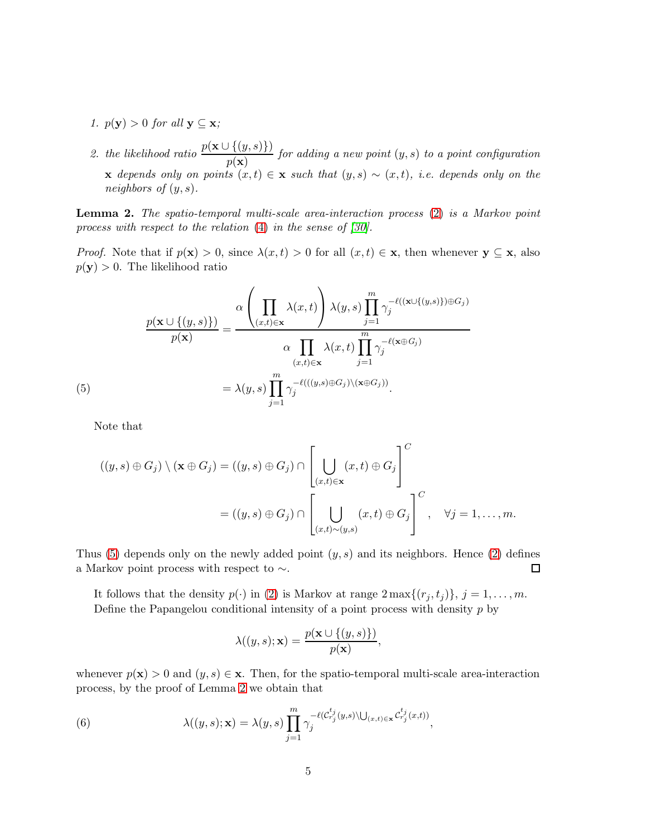- 1.  $p(\mathbf{y}) > 0$  for all  $\mathbf{y} \subseteq \mathbf{x}$ ;
- 2. the likelihood ratio  $\frac{p(\mathbf{x} \cup \{(y,s)\})}{p(\mathbf{x})}$  for adding a new point  $(y,s)$  to a point configuration x depends only on points  $(x, t) \in x$  such that  $(y, s) \sim (x, t)$ , i.e. depends only on the neighbors of  $(y, s)$ .

<span id="page-4-1"></span>Lemma 2. The spatio-temporal multi-scale area-interaction process [\(2\)](#page-2-1) is a Markov point process with respect to the relation [\(4\)](#page-3-1) in the sense of [\[30\]](#page-21-7).

*Proof.* Note that if  $p(x) > 0$ , since  $\lambda(x, t) > 0$  for all  $(x, t) \in x$ , then whenever  $y \subseteq x$ , also  $p(\mathbf{y}) > 0$ . The likelihood ratio

(5)  
\n
$$
\frac{p(\mathbf{x} \cup \{(y,s)\})}{p(\mathbf{x})} = \frac{\alpha \left(\prod_{(x,t) \in \mathbf{x}} \lambda(x,t)\right) \lambda(y,s) \prod_{j=1}^{m} \gamma_j^{-\ell((\mathbf{x} \cup \{(y,s)\}) \oplus G_j)}}{\alpha \prod_{(x,t) \in \mathbf{x}} \lambda(x,t) \prod_{j=1}^{m} \gamma_j^{-\ell(\mathbf{x} \oplus G_j)}}
$$
\n
$$
= \lambda(y,s) \prod_{j=1}^{m} \gamma_j^{-\ell(((y,s) \oplus G_j) \setminus (\mathbf{x} \oplus G_j))}.
$$

<span id="page-4-0"></span>Note that

$$
((y,s)\oplus G_j)\setminus(\mathbf{x}\oplus G_j)=( (y,s)\oplus G_j)\cap\left[\bigcup_{(x,t)\in\mathbf{x}}(x,t)\oplus G_j\right]^C
$$
  
=
$$
((y,s)\oplus G_j)\cap\left[\bigcup_{(x,t)\sim(y,s)}(x,t)\oplus G_j\right]^C, \quad \forall j=1,\ldots,m.
$$

Thus [\(5\)](#page-4-0) depends only on the newly added point  $(y, s)$  and its neighbors. Hence [\(2\)](#page-2-1) defines a Markov point process with respect to  $\sim$ .  $\Box$ 

It follows that the density  $p(\cdot)$  in [\(2\)](#page-2-1) is Markov at range  $2 \max\{(r_j, t_j)\}, j = 1, \ldots, m$ . Define the Papangelou conditional intensity of a point process with density  $p$  by

$$
\lambda((y,s);\mathbf{x}) = \frac{p(\mathbf{x} \cup \{(y,s)\})}{p(\mathbf{x})},
$$

whenever  $p(\mathbf{x}) > 0$  and  $(y, s) \in \mathbf{x}$ . Then, for the spatio-temporal multi-scale area-interaction process, by the proof of Lemma [2](#page-4-1) we obtain that

<span id="page-4-2"></span>(6) 
$$
\lambda((y,s);\mathbf{x}) = \lambda(y,s) \prod_{j=1}^m \gamma_j^{-\ell(\mathcal{C}_{r_j}^{t_j}(y,s) \setminus \bigcup_{(x,t) \in \mathbf{x}} \mathcal{C}_{r_j}^{t_j}(x,t))},
$$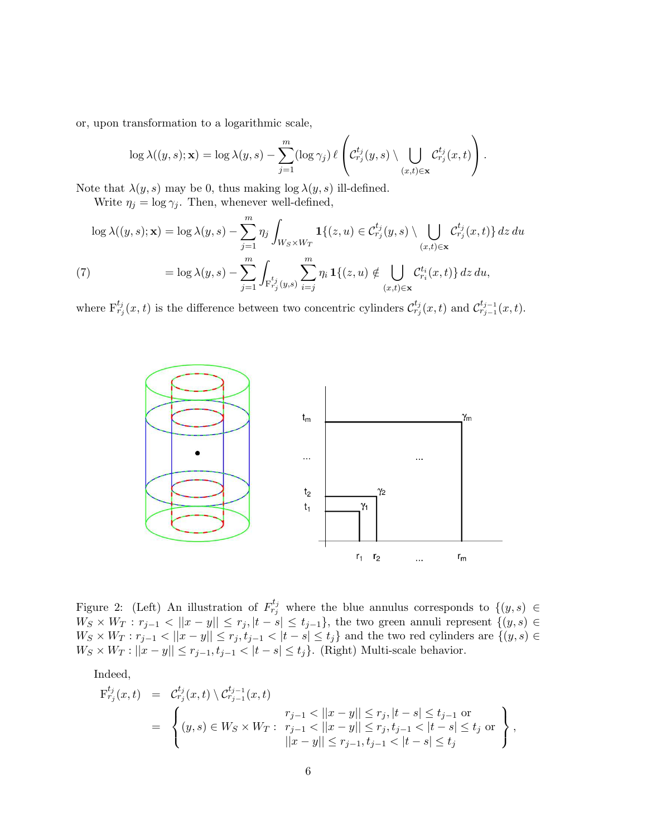or, upon transformation to a logarithmic scale,

$$
\log \lambda((y,s);\mathbf{x}) = \log \lambda(y,s) - \sum_{j=1}^m (\log \gamma_j) \ell\left( \mathcal{C}_{r_j}^{t_j}(y,s) \setminus \bigcup_{(x,t) \in \mathbf{x}} \mathcal{C}_{r_j}^{t_j}(x,t) \right).
$$

Note that  $\lambda(y, s)$  may be 0, thus making  $\log \lambda(y, s)$  ill-defined.

Write  $\eta_j = \log \gamma_j$ . Then, whenever well-defined,

$$
\log \lambda((y,s);\mathbf{x}) = \log \lambda(y,s) - \sum_{j=1}^{m} \eta_j \int_{W_S \times W_T} \mathbf{1}\{(z,u) \in C_{r_j}^{t_j}(y,s) \setminus \bigcup_{(x,t) \in \mathbf{x}} C_{r_j}^{t_j}(x,t)\} dz du
$$
  
(7)  

$$
= \log \lambda(y,s) - \sum_{j=1}^{m} \int_{\mathrm{F}_{r_j}^{t_j}(y,s)} \sum_{i=j}^{m} \eta_i \mathbf{1}\{(z,u) \notin \bigcup_{(x,t) \in \mathbf{x}} C_{r_i}^{t_i}(x,t)\} dz du,
$$

<span id="page-5-1"></span>where  $F^{t_j}_{r_j}(x,t)$  is the difference between two concentric cylinders  $\mathcal{C}^{t_j}_{r_j}(x,t)$  and  $\mathcal{C}^{t_{j-1}}_{r_{j-1}}(x,t)$ .



<span id="page-5-0"></span>Figure 2: (Left) An illustration of  $F^{t_j}_{r_j}$  where the blue annulus corresponds to  $\{(y, s) \in$  $W_S \times W_T : r_{j-1} < ||x - y|| \leq r_j, |t - s| \leq t_{j-1}$ , the two green annuli represent  $\{(y, s) \in$  $W_S \times W_T : r_{j-1} < ||x-y|| \leq r_j, t_{j-1} < |t-s| \leq t_j$  and the two red cylinders are  $\{(y, s) \in$  $W_S \times W_T : ||x - y|| \leq r_{j-1}, t_{j-1} < |t - s| \leq t_j$ . (Right) Multi-scale behavior.

Indeed,

$$
F_{r_j}^{t_j}(x,t) = C_{r_j}^{t_j}(x,t) \setminus C_{r_{j-1}}^{t_{j-1}}(x,t)
$$
  
= 
$$
\begin{cases} (y,s) \in W_S \times W_T: & r_{j-1} < ||x-y|| \le r_j, |t-s| \le t_{j-1} \text{ or } \\ (y,s) \in W_S \times W_T: & r_{j-1} < ||x-y|| \le r_j, t_{j-1} < |t-s| \le t_j \text{ or } \\ ||x-y|| \le r_{j-1}, t_{j-1} < |t-s| \le t_j \end{cases}
$$
,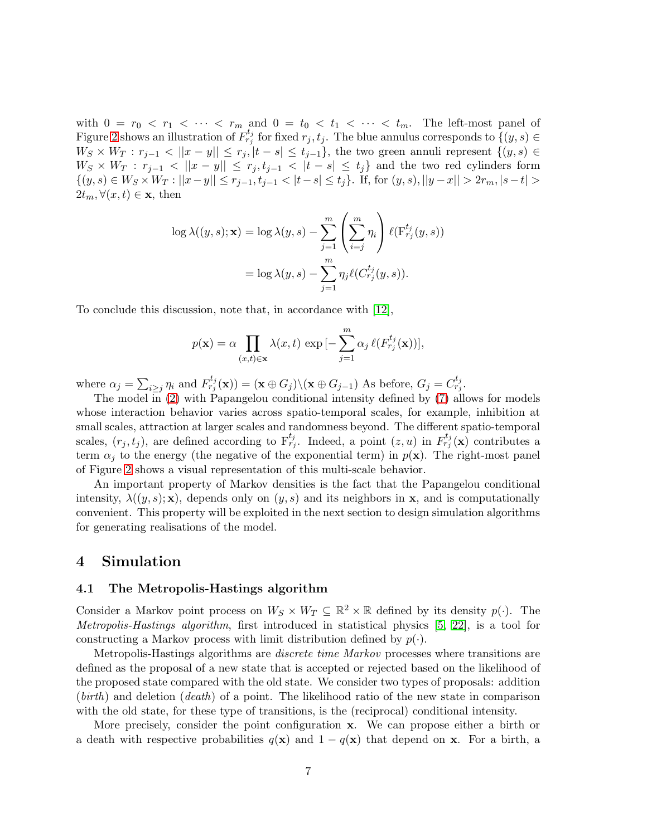with  $0 = r_0 < r_1 < \cdots < r_m$  and  $0 = t_0 < t_1 < \cdots < t_m$ . The left-most panel of Figure [2](#page-5-0) shows an illustration of  $F_{r_j}^{t_j}$  for fixed  $r_j, t_j$ . The blue annulus corresponds to  $\{(y, s) \in$  $W_S \times W_T : r_{j-1} < ||x-y|| \leq r_j$ ,  $|t-s| \leq t_{j-1}$ , the two green annuli represent  $\{(y,s) \in$  $W_S \times W_T : r_{j-1} < ||x-y|| \le r_j, t_{j-1} < |t-s| \le t_j$  and the two red cylinders form  $\{(y, s) \in W_S \times W_T : ||x - y|| \leq r_{j-1}, t_{j-1} < |t - s| \leq t_j\}.$  If, for  $(y, s), ||y - x|| > 2r_m, |s - t| >$  $2t_m, \forall (x, t) \in \mathbf{x}$ , then

$$
\log \lambda((y, s); \mathbf{x}) = \log \lambda(y, s) - \sum_{j=1}^{m} \left( \sum_{i=j}^{m} \eta_i \right) \ell(\mathbf{F}_{r_j}^{t_j}(y, s))
$$

$$
= \log \lambda(y, s) - \sum_{j=1}^{m} \eta_j \ell(C_{r_j}^{t_j}(y, s)).
$$

To conclude this discussion, note that, in accordance with [\[12\]](#page-20-4),

$$
p(\mathbf{x}) = \alpha \prod_{(x,t) \in \mathbf{x}} \lambda(x,t) \exp \left[-\sum_{j=1}^{m} \alpha_j \ell(F_{r_j}^{t_j}(\mathbf{x}))\right],
$$

where  $\alpha_j = \sum_{i \geq j} \eta_i$  and  $F_{r_j}^{t_j}(\mathbf{x}) = (\mathbf{x} \oplus G_j) \setminus (\mathbf{x} \oplus G_{j-1})$  As before,  $G_j = C_{r_j}^{t_j}$ .

The model in [\(2\)](#page-2-1) with Papangelou conditional intensity defined by [\(7\)](#page-5-1) allows for models whose interaction behavior varies across spatio-temporal scales, for example, inhibition at small scales, attraction at larger scales and randomness beyond. The different spatio-temporal scales,  $(r_j, t_j)$ , are defined according to  $F_{r_j}^{t_j}$ . Indeed, a point  $(z, u)$  in  $F_{r_j}^{t_j}(\mathbf{x})$  contributes a term  $\alpha_i$  to the energy (the negative of the exponential term) in  $p(\mathbf{x})$ . The right-most panel of Figure [2](#page-5-0) shows a visual representation of this multi-scale behavior.

An important property of Markov densities is the fact that the Papangelou conditional intensity,  $\lambda((y, s); \mathbf{x})$ , depends only on  $(y, s)$  and its neighbors in  $\mathbf{x}$ , and is computationally convenient. This property will be exploited in the next section to design simulation algorithms for generating realisations of the model.

## <span id="page-6-1"></span><span id="page-6-0"></span>4 Simulation

#### 4.1 The Metropolis-Hastings algorithm

Consider a Markov point process on  $W_S \times W_T \subseteq \mathbb{R}^2 \times \mathbb{R}$  defined by its density  $p(\cdot)$ . The Metropolis-Hastings algorithm, first introduced in statistical physics [\[5,](#page-20-8) [22\]](#page-21-8), is a tool for constructing a Markov process with limit distribution defined by  $p(\cdot)$ .

Metropolis-Hastings algorithms are discrete time Markov processes where transitions are defined as the proposal of a new state that is accepted or rejected based on the likelihood of the proposed state compared with the old state. We consider two types of proposals: addition  $(birth)$  and deletion  $(death)$  of a point. The likelihood ratio of the new state in comparison with the old state, for these type of transitions, is the (reciprocal) conditional intensity.

More precisely, consider the point configuration x. We can propose either a birth or a death with respective probabilities  $q(x)$  and  $1 - q(x)$  that depend on x. For a birth, a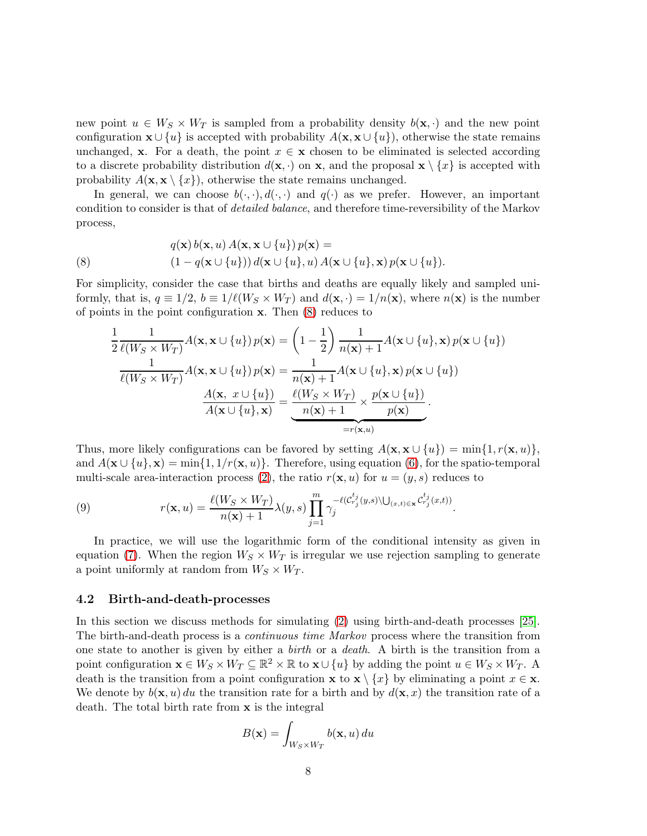new point  $u \in W_S \times W_T$  is sampled from a probability density  $b(\mathbf{x}, \cdot)$  and the new point configuration  $\mathbf{x} \cup \{u\}$  is accepted with probability  $A(\mathbf{x}, \mathbf{x} \cup \{u\})$ , otherwise the state remains unchanged, x. For a death, the point  $x \in \mathbf{x}$  chosen to be eliminated is selected according to a discrete probability distribution  $d(\mathbf{x}, \cdot)$  on x, and the proposal  $\mathbf{x} \setminus \{x\}$  is accepted with probability  $A(\mathbf{x}, \mathbf{x} \setminus \{x\})$ , otherwise the state remains unchanged.

In general, we can choose  $b(\cdot, \cdot), d(\cdot, \cdot)$  and  $q(\cdot)$  as we prefer. However, an important condition to consider is that of detailed balance, and therefore time-reversibility of the Markov process,

<span id="page-7-0"></span>(8) 
$$
q(\mathbf{x}) b(\mathbf{x}, u) A(\mathbf{x}, \mathbf{x} \cup \{u\}) p(\mathbf{x}) =
$$

$$
(1 - q(\mathbf{x} \cup \{u\})) d(\mathbf{x} \cup \{u\}, u) A(\mathbf{x} \cup \{u\}, \mathbf{x}) p(\mathbf{x} \cup \{u\}).
$$

For simplicity, consider the case that births and deaths are equally likely and sampled uniformly, that is,  $q \equiv 1/2$ ,  $b \equiv 1/\ell(W_S \times W_T)$  and  $d(\mathbf{x}, \cdot) = 1/n(\mathbf{x})$ , where  $n(\mathbf{x})$  is the number of points in the point configuration x. Then [\(8\)](#page-7-0) reduces to

$$
\frac{1}{2} \frac{1}{\ell(W_S \times W_T)} A(\mathbf{x}, \mathbf{x} \cup \{u\}) p(\mathbf{x}) = \left(1 - \frac{1}{2}\right) \frac{1}{n(\mathbf{x}) + 1} A(\mathbf{x} \cup \{u\}, \mathbf{x}) p(\mathbf{x} \cup \{u\})
$$

$$
\frac{1}{\ell(W_S \times W_T)} A(\mathbf{x}, \mathbf{x} \cup \{u\}) p(\mathbf{x}) = \frac{1}{n(\mathbf{x}) + 1} A(\mathbf{x} \cup \{u\}, \mathbf{x}) p(\mathbf{x} \cup \{u\})
$$

$$
\frac{A(\mathbf{x}, x \cup \{u\})}{A(\mathbf{x} \cup \{u\}, \mathbf{x})} = \underbrace{\frac{\ell(W_S \times W_T)}{n(\mathbf{x}) + 1} \times \frac{p(\mathbf{x} \cup \{u\})}{p(\mathbf{x})}}_{=r(\mathbf{x}, u)}.
$$

Thus, more likely configurations can be favored by setting  $A(\mathbf{x}, \mathbf{x} \cup \{u\}) = \min\{1, r(\mathbf{x}, u)\},$ and  $A(\mathbf{x} \cup \{u\}, \mathbf{x}) = \min\{1, 1/r(\mathbf{x}, u)\}.$  Therefore, using equation [\(6\)](#page-4-2), for the spatio-temporal multi-scale area-interaction process [\(2\)](#page-2-1), the ratio  $r(\mathbf{x}, u)$  for  $u = (y, s)$  reduces to

(9) 
$$
r(\mathbf{x}, u) = \frac{\ell(W_S \times W_T)}{n(\mathbf{x}) + 1} \lambda(y, s) \prod_{j=1}^m \gamma_j^{-\ell(\mathcal{C}_{r_j}^{t_j}(y, s) \setminus \bigcup_{(x, t) \in \mathbf{x}} \mathcal{C}_{r_j}^{t_j}(x, t))}.
$$

In practice, we will use the logarithmic form of the conditional intensity as given in equation [\(7\)](#page-5-1). When the region  $W_S \times W_T$  is irregular we use rejection sampling to generate a point uniformly at random from  $W_S \times W_T$ .

#### 4.2 Birth-and-death-processes

In this section we discuss methods for simulating [\(2\)](#page-2-1) using birth-and-death processes [\[25\]](#page-21-9). The birth-and-death process is a *continuous time Markov* process where the transition from one state to another is given by either a birth or a death. A birth is the transition from a point configuration  $\mathbf{x} \in W_S \times W_T \subseteq \mathbb{R}^2 \times \mathbb{R}$  to  $\mathbf{x} \cup \{u\}$  by adding the point  $u \in W_S \times W_T$ . A death is the transition from a point configuration **x** to **x**  $\{x\}$  by eliminating a point  $x \in \mathbf{x}$ . We denote by  $b(\mathbf{x}, u) du$  the transition rate for a birth and by  $d(\mathbf{x}, x)$  the transition rate of a death. The total birth rate from x is the integral

$$
B(\mathbf{x}) = \int_{W_S \times W_T} b(\mathbf{x}, u) \, du
$$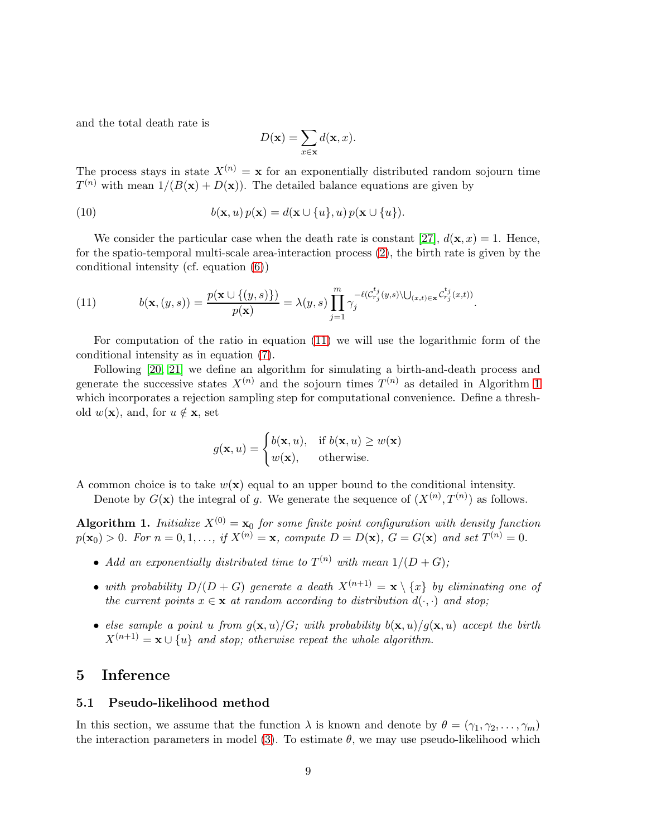and the total death rate is

$$
D(\mathbf{x}) = \sum_{x \in \mathbf{x}} d(\mathbf{x}, x).
$$

The process stays in state  $X^{(n)} = \mathbf{x}$  for an exponentially distributed random sojourn time  $T^{(n)}$  with mean  $1/(B(\mathbf{x}) + D(\mathbf{x}))$ . The detailed balance equations are given by

(10) 
$$
b(\mathbf{x}, u) p(\mathbf{x}) = d(\mathbf{x} \cup \{u\}, u) p(\mathbf{x} \cup \{u\}).
$$

We consider the particular case when the death rate is constant [\[27\]](#page-21-10),  $d(\mathbf{x}, x) = 1$ . Hence, for the spatio-temporal multi-scale area-interaction process [\(2\)](#page-2-1), the birth rate is given by the conditional intensity (cf. equation [\(6\)](#page-4-2))

<span id="page-8-1"></span>(11) 
$$
b(\mathbf{x}, (y, s)) = \frac{p(\mathbf{x} \cup \{(y, s)\})}{p(\mathbf{x})} = \lambda(y, s) \prod_{j=1}^{m} \gamma_j^{-\ell(\mathcal{C}_{r_j}^{t_j}(y, s) \setminus \bigcup_{(x, t) \in \mathbf{x}} \mathcal{C}_{r_j}^{t_j}(x, t))}.
$$

For computation of the ratio in equation [\(11\)](#page-8-1) we will use the logarithmic form of the conditional intensity as in equation [\(7\)](#page-5-1).

Following [\[20,](#page-21-11) [21\]](#page-21-0) we define an algorithm for simulating a birth-and-death process and generate the successive states  $X^{(n)}$  and the sojourn times  $T^{(n)}$  as detailed in Algorithm [1](#page-8-2) which incorporates a rejection sampling step for computational convenience. Define a threshold  $w(\mathbf{x})$ , and, for  $u \notin \mathbf{x}$ , set

$$
g(\mathbf{x}, u) = \begin{cases} b(\mathbf{x}, u), & \text{if } b(\mathbf{x}, u) \ge w(\mathbf{x}) \\ w(\mathbf{x}), & \text{otherwise.} \end{cases}
$$

A common choice is to take  $w(\mathbf{x})$  equal to an upper bound to the conditional intensity.

Denote by  $G(\mathbf{x})$  the integral of g. We generate the sequence of  $(X^{(n)}, T^{(n)})$  as follows.

<span id="page-8-2"></span>Algorithm 1. Initialize  $X^{(0)} = \mathbf{x}_0$  for some finite point configuration with density function  $p(\mathbf{x}_0) > 0$ . For  $n = 0, 1, ...,$  if  $X^{(n)} = \mathbf{x}$ , compute  $D = D(\mathbf{x})$ ,  $G = G(\mathbf{x})$  and set  $T^{(n)} = 0$ .

- Add an exponentially distributed time to  $T^{(n)}$  with mean  $1/(D+G);$
- with probability  $D/(D+G)$  generate a death  $X^{(n+1)} = \mathbf{x} \setminus \{x\}$  by eliminating one of the current points  $x \in \mathbf{x}$  at random according to distribution  $d(\cdot, \cdot)$  and stop;
- else sample a point u from  $g(\mathbf{x}, u)/G$ ; with probability  $b(\mathbf{x}, u)/g(\mathbf{x}, u)$  accept the birth  $X^{(n+1)} = \mathbf{x} \cup \{u\}$  and stop; otherwise repeat the whole algorithm.

### <span id="page-8-0"></span>5 Inference

#### 5.1 Pseudo-likelihood method

In this section, we assume that the function  $\lambda$  is known and denote by  $\theta = (\gamma_1, \gamma_2, \dots, \gamma_m)$ the interaction parameters in model [\(3\)](#page-3-2). To estimate  $\theta$ , we may use pseudo-likelihood which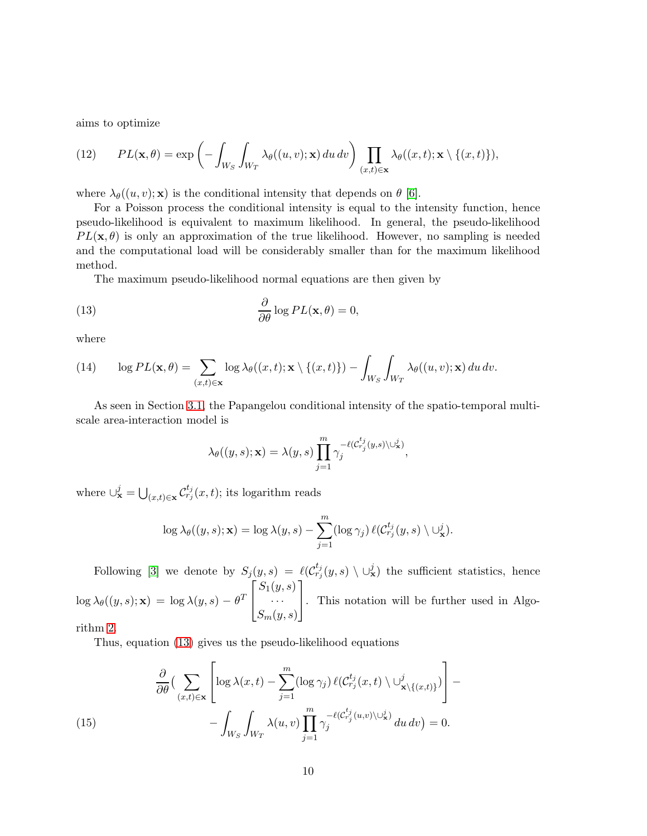aims to optimize

(12) 
$$
PL(\mathbf{x},\theta) = \exp\left(-\int_{W_S} \int_{W_T} \lambda_{\theta}((u,v);\mathbf{x}) du dv\right) \prod_{(x,t)\in\mathbf{x}} \lambda_{\theta}((x,t);\mathbf{x}\setminus\{(x,t)\}),
$$

where  $\lambda_{\theta}((u, v); \mathbf{x})$  is the conditional intensity that depends on  $\theta$  [\[6\]](#page-20-9).

For a Poisson process the conditional intensity is equal to the intensity function, hence pseudo-likelihood is equivalent to maximum likelihood. In general, the pseudo-likelihood  $PL(\mathbf{x}, \theta)$  is only an approximation of the true likelihood. However, no sampling is needed and the computational load will be considerably smaller than for the maximum likelihood method.

The maximum pseudo-likelihood normal equations are then given by

<span id="page-9-0"></span>(13) 
$$
\frac{\partial}{\partial \theta} \log PL(\mathbf{x}, \theta) = 0,
$$

where

<span id="page-9-2"></span>(14) 
$$
\log PL(\mathbf{x},\theta) = \sum_{(x,t)\in\mathbf{x}} \log \lambda_{\theta}((x,t);\mathbf{x}\setminus\{(x,t)\}) - \int_{W_S} \int_{W_T} \lambda_{\theta}((u,v);\mathbf{x}) du dv.
$$

As seen in Section [3.1,](#page-3-3) the Papangelou conditional intensity of the spatio-temporal multiscale area-interaction model is

$$
\lambda_{\theta}((y,s);\mathbf{x}) = \lambda(y,s) \prod_{j=1}^{m} \gamma_j^{-\ell(\mathcal{C}_{r_j}^{t_j}(y,s) \setminus \cup_{\mathbf{x}}^j)},
$$

where  $\cup_{\mathbf{x}}^j = \bigcup_{(x,t)\in\mathbf{x}} \mathcal{C}_{r_j}^{t_j}(x,t)$ ; its logarithm reads

$$
\log \lambda_{\theta}((y,s);\mathbf{x}) = \log \lambda(y,s) - \sum_{j=1}^{m} (\log \gamma_j) \ell(C_{r_j}^{t_j}(y,s) \setminus \cup_{\mathbf{x}}^j).
$$

Following [\[3\]](#page-20-10) we denote by  $S_j(y,s) = \ell(\mathcal{C}_{r_j}^{t_j}(y,s) \setminus \cup_{\mathbf{x}}^j)$  the sufficient statistics, hence  $\log \lambda_{\theta}((y,s);\mathbf{x})\,=\,\log \lambda(y,s)\,-\,\theta^T$  $\sqrt{ }$  $\overline{1}$  $S_1(y,s)$ · · ·  $S_m(y,s)$ 1 . This notation will be further used in Algorithm 2.

Thus, equation [\(13\)](#page-9-0) gives us the pseudo-likelihood equations

<span id="page-9-1"></span>(15) 
$$
\frac{\partial}{\partial \theta} \Big( \sum_{(x,t) \in \mathbf{x}} \left[ \log \lambda(x,t) - \sum_{j=1}^m (\log \gamma_j) \ell(C_{r_j}^{t_j}(x,t) \setminus \cup_{\mathbf{x} \setminus \{(x,t)\}}^j) \right] - \int_{W_S} \int_{W_T} \lambda(u,v) \prod_{j=1}^m \gamma_j^{-\ell(C_{r_j}^{t_j}(u,v) \setminus \cup_{\mathbf{x}}^j)} du dv \Big) = 0.
$$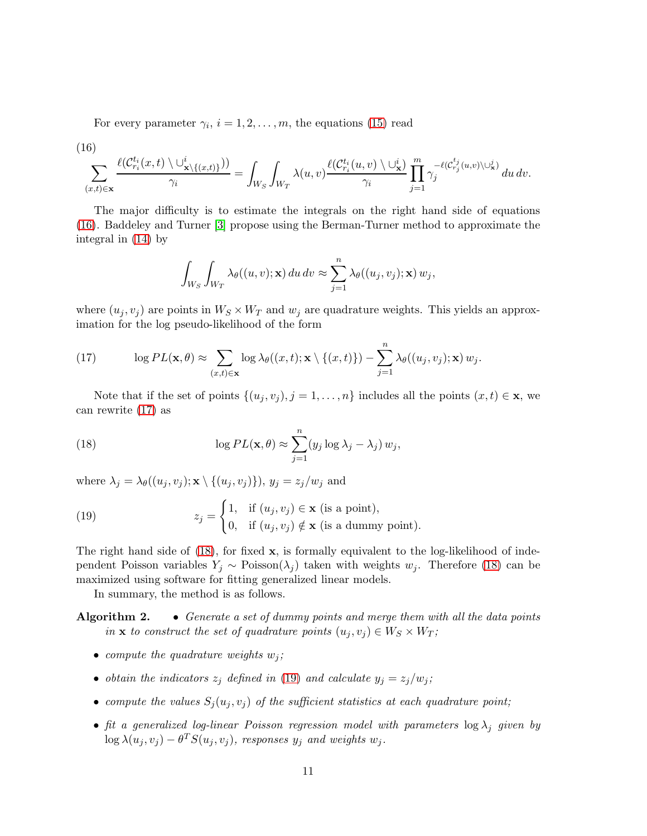For every parameter  $\gamma_i$ ,  $i = 1, 2, \ldots, m$ , the equations [\(15\)](#page-9-1) read

<span id="page-10-0"></span>(16)  

$$
\sum_{(x,t)\in\mathbf{x}}\frac{\ell(\mathcal{C}_{r_i}^{t_i}(x,t)\setminus\cup_{\mathbf{x}\setminus\{(x,t)\}}^i)}{\gamma_i}=\int_{W_S}\int_{W_T}\lambda(u,v)\frac{\ell(\mathcal{C}_{r_i}^{t_i}(u,v)\setminus\cup_{\mathbf{x}}^i)}{\gamma_i}\prod_{j=1}^m\gamma_j^{-\ell(\mathcal{C}_{r_j}^{t_j}(u,v)\setminus\cup_{\mathbf{x}}^j)}du\,dv.
$$

The major difficulty is to estimate the integrals on the right hand side of equations [\(16\)](#page-10-0). Baddeley and Turner [\[3\]](#page-20-10) propose using the Berman-Turner method to approximate the integral in [\(14\)](#page-9-2) by

$$
\int_{W_S} \int_{W_T} \lambda_{\theta}((u, v); \mathbf{x}) du dv \approx \sum_{j=1}^n \lambda_{\theta}((u_j, v_j); \mathbf{x}) w_j,
$$

where  $(u_j, v_j)$  are points in  $W_S \times W_T$  and  $w_j$  are quadrature weights. This yields an approximation for the log pseudo-likelihood of the form

<span id="page-10-1"></span>(17) 
$$
\log PL(\mathbf{x},\theta) \approx \sum_{(x,t)\in\mathbf{x}} \log \lambda_{\theta}((x,t);\mathbf{x}\setminus\{(x,t)\}) - \sum_{j=1}^{n} \lambda_{\theta}((u_j,v_j);\mathbf{x}) w_j.
$$

Note that if the set of points  $\{(u_j, v_j), j = 1, \ldots, n\}$  includes all the points  $(x, t) \in \mathbf{x}$ , we can rewrite [\(17\)](#page-10-1) as

<span id="page-10-2"></span>(18) 
$$
\log PL(\mathbf{x},\theta) \approx \sum_{j=1}^{n} (y_j \log \lambda_j - \lambda_j) w_j,
$$

where  $\lambda_j = \lambda_\theta((u_j, v_j); \mathbf{x} \setminus \{(u_j, v_j)\})$ ,  $y_j = z_j/w_j$  and

<span id="page-10-3"></span>(19) 
$$
z_j = \begin{cases} 1, & \text{if } (u_j, v_j) \in \mathbf{x} \text{ (is a point)}, \\ 0, & \text{if } (u_j, v_j) \notin \mathbf{x} \text{ (is a dummy point)}. \end{cases}
$$

The right hand side of  $(18)$ , for fixed x, is formally equivalent to the log-likelihood of independent Poisson variables  $Y_i \sim \text{Poisson}(\lambda_i)$  taken with weights  $w_i$ . Therefore [\(18\)](#page-10-2) can be maximized using software for fitting generalized linear models.

In summary, the method is as follows.

Algorithm 2. • Generate a set of dummy points and merge them with all the data points in **x** to construct the set of quadrature points  $(u_i, v_j) \in W_S \times W_T$ ;

- compute the quadrature weights  $w_j$ ;
- obtain the indicators  $z_j$  defined in [\(19\)](#page-10-3) and calculate  $y_j = z_j/w_j$ ;
- compute the values  $S_i(u_i, v_i)$  of the sufficient statistics at each quadrature point;
- fit a generalized log-linear Poisson regression model with parameters  $\log \lambda_j$  given by  $\log \lambda(u_j,v_j) - \theta^T S(u_j,v_j)$ , responses  $y_j$  and weights  $w_j$ .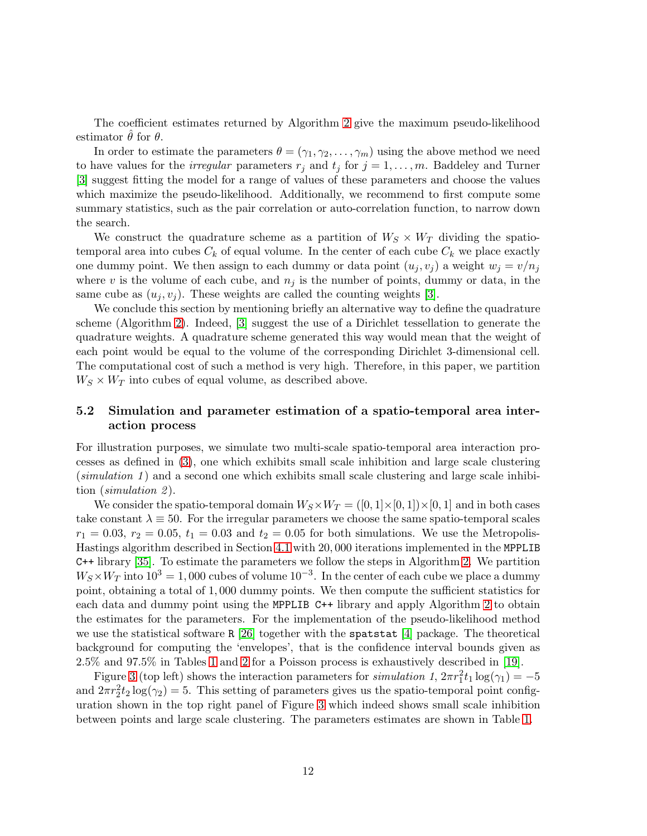The coefficient estimates returned by Algorithm 2 give the maximum pseudo-likelihood estimator  $\theta$  for  $\theta$ .

In order to estimate the parameters  $\theta = (\gamma_1, \gamma_2, \dots, \gamma_m)$  using the above method we need to have values for the *irregular* parameters  $r_j$  and  $t_j$  for  $j = 1, \ldots, m$ . Baddeley and Turner [\[3\]](#page-20-10) suggest fitting the model for a range of values of these parameters and choose the values which maximize the pseudo-likelihood. Additionally, we recommend to first compute some summary statistics, such as the pair correlation or auto-correlation function, to narrow down the search.

We construct the quadrature scheme as a partition of  $W_S \times W_T$  dividing the spatiotemporal area into cubes  $C_k$  of equal volume. In the center of each cube  $C_k$  we place exactly one dummy point. We then assign to each dummy or data point  $(u_j, v_j)$  a weight  $w_j = v/n_j$ where v is the volume of each cube, and  $n_j$  is the number of points, dummy or data, in the same cube as  $(u_i, v_i)$ . These weights are called the counting weights [\[3\]](#page-20-10).

We conclude this section by mentioning briefly an alternative way to define the quadrature scheme (Algorithm 2). Indeed, [\[3\]](#page-20-10) suggest the use of a Dirichlet tessellation to generate the quadrature weights. A quadrature scheme generated this way would mean that the weight of each point would be equal to the volume of the corresponding Dirichlet 3-dimensional cell. The computational cost of such a method is very high. Therefore, in this paper, we partition  $W_S \times W_T$  into cubes of equal volume, as described above.

#### 5.2 Simulation and parameter estimation of a spatio-temporal area interaction process

For illustration purposes, we simulate two multi-scale spatio-temporal area interaction processes as defined in [\(3\)](#page-3-2), one which exhibits small scale inhibition and large scale clustering  $(simulation 1)$  and a second one which exhibits small scale clustering and large scale inhibition (simulation 2).

We consider the spatio-temporal domain  $W_S \times W_T = ([0, 1] \times [0, 1]) \times [0, 1]$  and in both cases take constant  $\lambda \equiv 50$ . For the irregular parameters we choose the same spatio-temporal scales  $r_1 = 0.03$ ,  $r_2 = 0.05$ ,  $t_1 = 0.03$  and  $t_2 = 0.05$  for both simulations. We use the Metropolis-Hastings algorithm described in Section [4.1](#page-6-1) with 20, 000 iterations implemented in the MPPLIB C++ library [\[35\]](#page-22-3). To estimate the parameters we follow the steps in Algorithm 2. We partition  $W_S \times W_T$  into  $10^3 = 1,000$  cubes of volume  $10^{-3}$ . In the center of each cube we place a dummy point, obtaining a total of 1, 000 dummy points. We then compute the sufficient statistics for each data and dummy point using the MPPLIB C++ library and apply Algorithm 2 to obtain the estimates for the parameters. For the implementation of the pseudo-likelihood method we use the statistical software R  $[26]$  together with the spatstat [\[4\]](#page-20-7) package. The theoretical background for computing the 'envelopes', that is the confidence interval bounds given as 2.5% and 97.5% in Tables [1](#page-13-1) and [2](#page-13-2) for a Poisson process is exhaustively described in [\[19\]](#page-21-13).

Figure [3](#page-12-0) (top left) shows the interaction parameters for simulation 1,  $2\pi r_1^2 t_1 \log(\gamma_1) = -5$ and  $2\pi r_2^2 t_2 \log(\gamma_2) = 5$ . This setting of parameters gives us the spatio-temporal point configuration shown in the top right panel of Figure [3](#page-12-0) which indeed shows small scale inhibition between points and large scale clustering. The parameters estimates are shown in Table [1.](#page-13-1)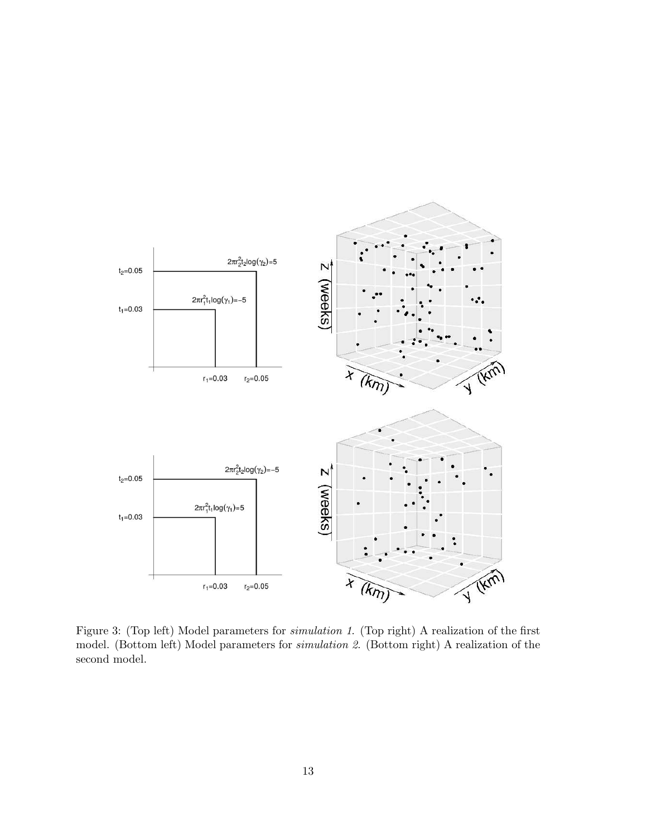

<span id="page-12-0"></span>Figure 3: (Top left) Model parameters for simulation 1. (Top right) A realization of the first model. (Bottom left) Model parameters for simulation 2. (Bottom right) A realization of the second model.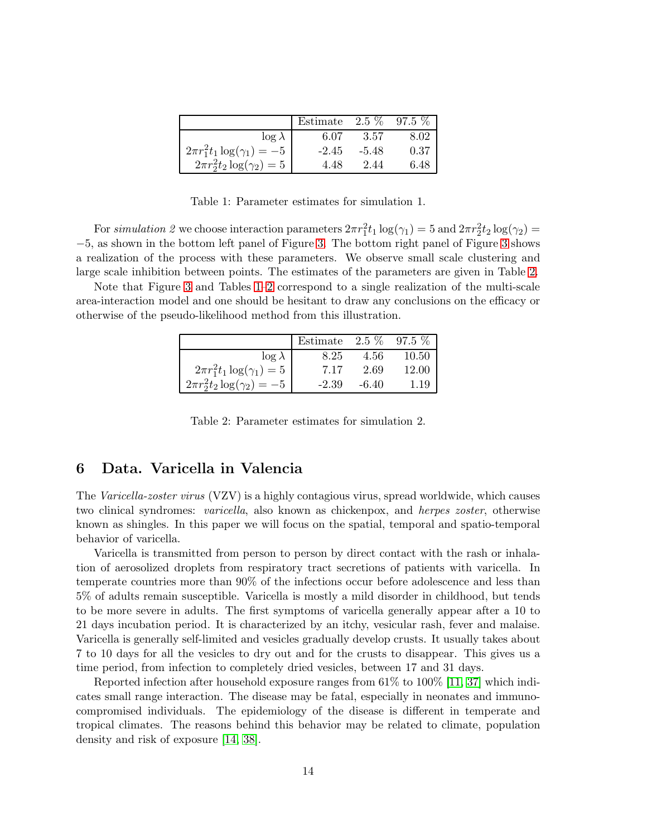|                                      | Estimate | $2.5\%$ | $97.5\%$ |
|--------------------------------------|----------|---------|----------|
| $\log \lambda$                       | 6.07     | 3.57    | 8.02     |
| $2\pi r_1^2 t_1 \log(\gamma_1) = -5$ | $-2.45$  | $-5.48$ | 0.37     |
| $2\pi r_2^2 t_2 \log(\gamma_2) = 5$  | 4.48     | 2.44    | 6.48     |

<span id="page-13-1"></span>Table 1: Parameter estimates for simulation 1.

For simulation 2 we choose interaction parameters  $2\pi r_1^2 t_1 \log(\gamma_1) = 5$  and  $2\pi r_2^2 t_2 \log(\gamma_2) =$ −5, as shown in the bottom left panel of Figure [3.](#page-12-0) The bottom right panel of Figure [3](#page-12-0) shows a realization of the process with these parameters. We observe small scale clustering and large scale inhibition between points. The estimates of the parameters are given in Table [2.](#page-13-2)

Note that Figure [3](#page-12-0) and Tables [1](#page-13-1)[–2](#page-13-2) correspond to a single realization of the multi-scale area-interaction model and one should be hesitant to draw any conclusions on the efficacy or otherwise of the pseudo-likelihood method from this illustration.

|                                      | Estimate $2.5\%$ |         | $97.5\%$ |
|--------------------------------------|------------------|---------|----------|
| $\log \lambda$                       | 8.25             | 4.56    | 10.50    |
| $2\pi r_1^2 t_1 \log(\gamma_1) = 5$  | 7.17             | 2.69    | 12.00    |
| $2\pi r_2^2 t_2 \log(\gamma_2) = -5$ | $-2.39$          | $-6.40$ | 1.19     |

<span id="page-13-2"></span>Table 2: Parameter estimates for simulation 2.

## <span id="page-13-0"></span>6 Data. Varicella in Valencia

The Varicella-zoster virus (VZV) is a highly contagious virus, spread worldwide, which causes two clinical syndromes: varicella, also known as chickenpox, and herpes zoster, otherwise known as shingles. In this paper we will focus on the spatial, temporal and spatio-temporal behavior of varicella.

Varicella is transmitted from person to person by direct contact with the rash or inhalation of aerosolized droplets from respiratory tract secretions of patients with varicella. In temperate countries more than 90% of the infections occur before adolescence and less than 5% of adults remain susceptible. Varicella is mostly a mild disorder in childhood, but tends to be more severe in adults. The first symptoms of varicella generally appear after a 10 to 21 days incubation period. It is characterized by an itchy, vesicular rash, fever and malaise. Varicella is generally self-limited and vesicles gradually develop crusts. It usually takes about 7 to 10 days for all the vesicles to dry out and for the crusts to disappear. This gives us a time period, from infection to completely dried vesicles, between 17 and 31 days.

Reported infection after household exposure ranges from 61% to 100% [\[11,](#page-20-11) [37\]](#page-22-4) which indicates small range interaction. The disease may be fatal, especially in neonates and immunocompromised individuals. The epidemiology of the disease is different in temperate and tropical climates. The reasons behind this behavior may be related to climate, population density and risk of exposure [\[14,](#page-20-12) [38\]](#page-22-5).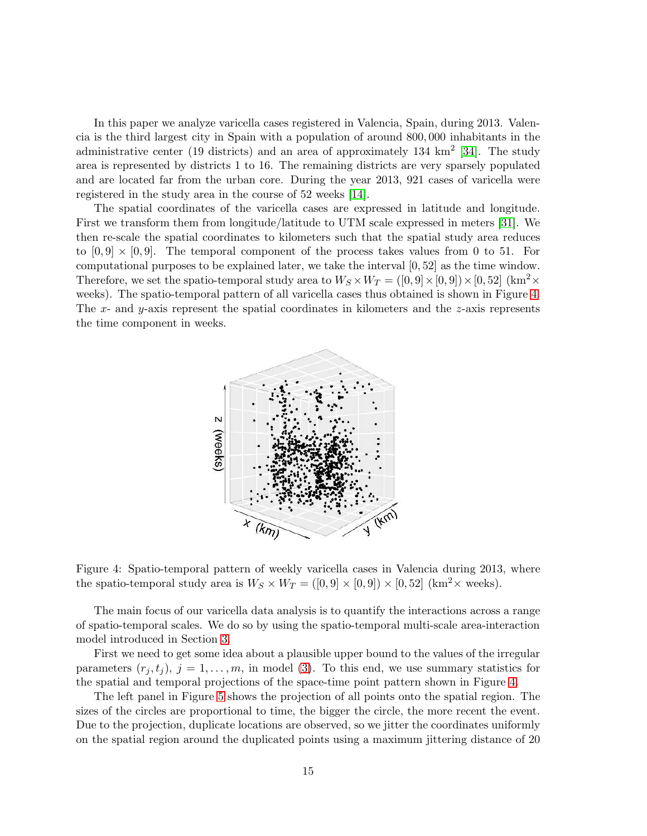In this paper we analyze varicella cases registered in Valencia, Spain, during 2013. Valencia is the third largest city in Spain with a population of around 800, 000 inhabitants in the administrative center (19 districts) and an area of approximately 134  $\text{km}^2$  [\[34\]](#page-22-6). The study area is represented by districts 1 to 16. The remaining districts are very sparsely populated and are located far from the urban core. During the year 2013, 921 cases of varicella were registered in the study area in the course of 52 weeks [\[14\]](#page-20-12).

The spatial coordinates of the varicella cases are expressed in latitude and longitude. First we transform them from longitude/latitude to UTM scale expressed in meters [\[31\]](#page-21-14). We then re-scale the spatial coordinates to kilometers such that the spatial study area reduces to  $[0, 9] \times [0, 9]$ . The temporal component of the process takes values from 0 to 51. For computational purposes to be explained later, we take the interval [0, 52] as the time window. Therefore, we set the spatio-temporal study area to  $W_S \times W_T = ([0, 9] \times [0, 9]) \times [0, 52]$  (km<sup>2</sup>× weeks). The spatio-temporal pattern of all varicella cases thus obtained is shown in Figure [4.](#page-14-0) The x- and y-axis represent the spatial coordinates in kilometers and the  $z$ -axis represents the time component in weeks.



<span id="page-14-0"></span>Figure 4: Spatio-temporal pattern of weekly varicella cases in Valencia during 2013, where the spatio-temporal study area is  $W_S \times W_T = ([0, 9] \times [0, 9]) \times [0, 52]$  (km<sup>2</sup> $\times$  weeks).

The main focus of our varicella data analysis is to quantify the interactions across a range of spatio-temporal scales. We do so by using the spatio-temporal multi-scale area-interaction model introduced in Section [3.](#page-2-0)

First we need to get some idea about a plausible upper bound to the values of the irregular parameters  $(r_j, t_j)$ ,  $j = 1, \ldots, m$ , in model [\(3\)](#page-3-2). To this end, we use summary statistics for the spatial and temporal projections of the space-time point pattern shown in Figure [4.](#page-14-0)

The left panel in Figure [5](#page-15-0) shows the projection of all points onto the spatial region. The sizes of the circles are proportional to time, the bigger the circle, the more recent the event. Due to the projection, duplicate locations are observed, so we jitter the coordinates uniformly on the spatial region around the duplicated points using a maximum jittering distance of 20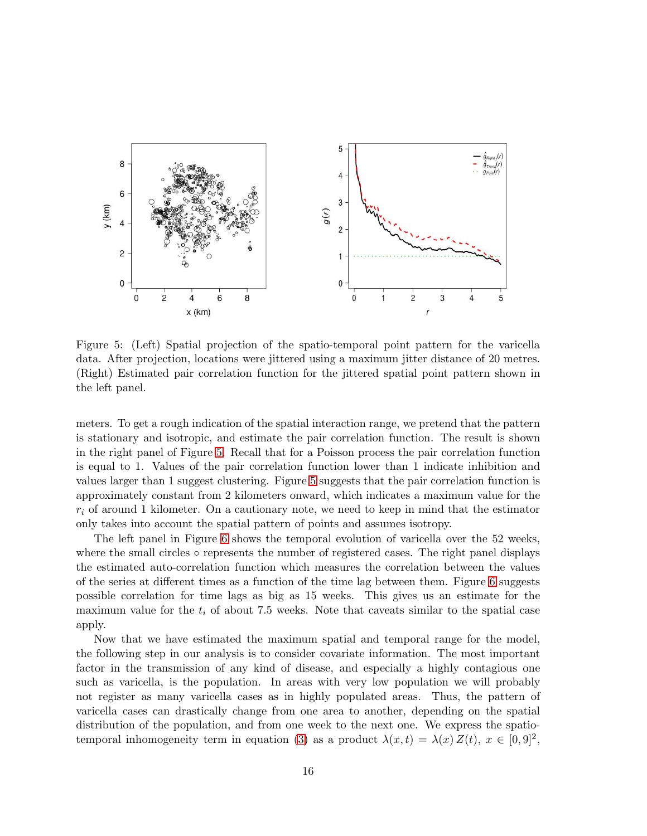

<span id="page-15-0"></span>Figure 5: (Left) Spatial projection of the spatio-temporal point pattern for the varicella data. After projection, locations were jittered using a maximum jitter distance of 20 metres. (Right) Estimated pair correlation function for the jittered spatial point pattern shown in the left panel.

meters. To get a rough indication of the spatial interaction range, we pretend that the pattern is stationary and isotropic, and estimate the pair correlation function. The result is shown in the right panel of Figure [5.](#page-15-0) Recall that for a Poisson process the pair correlation function is equal to 1. Values of the pair correlation function lower than 1 indicate inhibition and values larger than 1 suggest clustering. Figure [5](#page-15-0) suggests that the pair correlation function is approximately constant from 2 kilometers onward, which indicates a maximum value for the  $r_i$  of around 1 kilometer. On a cautionary note, we need to keep in mind that the estimator only takes into account the spatial pattern of points and assumes isotropy.

The left panel in Figure [6](#page-16-0) shows the temporal evolution of varicella over the 52 weeks, where the small circles ∘ represents the number of registered cases. The right panel displays the estimated auto-correlation function which measures the correlation between the values of the series at different times as a function of the time lag between them. Figure [6](#page-16-0) suggests possible correlation for time lags as big as 15 weeks. This gives us an estimate for the maximum value for the  $t_i$  of about 7.5 weeks. Note that caveats similar to the spatial case apply.

Now that we have estimated the maximum spatial and temporal range for the model, the following step in our analysis is to consider covariate information. The most important factor in the transmission of any kind of disease, and especially a highly contagious one such as varicella, is the population. In areas with very low population we will probably not register as many varicella cases as in highly populated areas. Thus, the pattern of varicella cases can drastically change from one area to another, depending on the spatial distribution of the population, and from one week to the next one. We express the spatio-temporal inhomogeneity term in equation [\(3\)](#page-3-2) as a product  $\lambda(x,t) = \lambda(x) Z(t), x \in [0,9]^2$ ,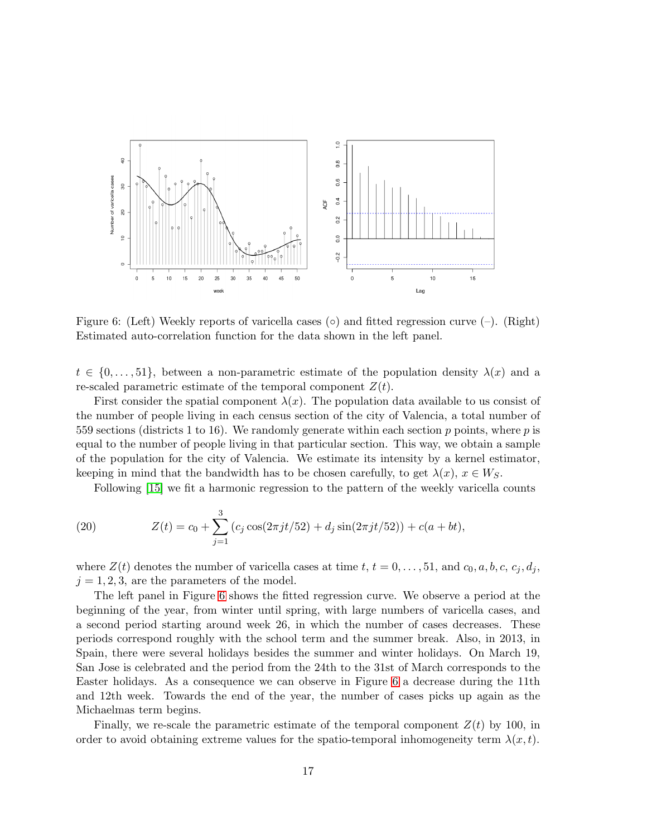

<span id="page-16-0"></span>Figure 6: (Left) Weekly reports of varicella cases ( $\circ$ ) and fitted regression curve ( $-\circ$ ). (Right) Estimated auto-correlation function for the data shown in the left panel.

 $t \in \{0, \ldots, 51\}$ , between a non-parametric estimate of the population density  $\lambda(x)$  and a re-scaled parametric estimate of the temporal component  $Z(t)$ .

First consider the spatial component  $\lambda(x)$ . The population data available to us consist of the number of people living in each census section of the city of Valencia, a total number of 559 sections (districts 1 to 16). We randomly generate within each section  $p$  points, where  $p$  is equal to the number of people living in that particular section. This way, we obtain a sample of the population for the city of Valencia. We estimate its intensity by a kernel estimator, keeping in mind that the bandwidth has to be chosen carefully, to get  $\lambda(x)$ ,  $x \in W_S$ .

Following [\[15\]](#page-20-13) we fit a harmonic regression to the pattern of the weekly varicella counts

(20) 
$$
Z(t) = c_0 + \sum_{j=1}^{3} (c_j \cos(2\pi j t/52) + d_j \sin(2\pi j t/52)) + c(a + bt),
$$

where  $Z(t)$  denotes the number of varicella cases at time t,  $t = 0, \ldots, 51$ , and  $c_0, a, b, c, c_j, d_j$ ,  $j = 1, 2, 3$ , are the parameters of the model.

The left panel in Figure [6](#page-16-0) shows the fitted regression curve. We observe a period at the beginning of the year, from winter until spring, with large numbers of varicella cases, and a second period starting around week 26, in which the number of cases decreases. These periods correspond roughly with the school term and the summer break. Also, in 2013, in Spain, there were several holidays besides the summer and winter holidays. On March 19, San Jose is celebrated and the period from the 24th to the 31st of March corresponds to the Easter holidays. As a consequence we can observe in Figure [6](#page-16-0) a decrease during the 11th and 12th week. Towards the end of the year, the number of cases picks up again as the Michaelmas term begins.

Finally, we re-scale the parametric estimate of the temporal component  $Z(t)$  by 100, in order to avoid obtaining extreme values for the spatio-temporal inhomogeneity term  $\lambda(x, t)$ .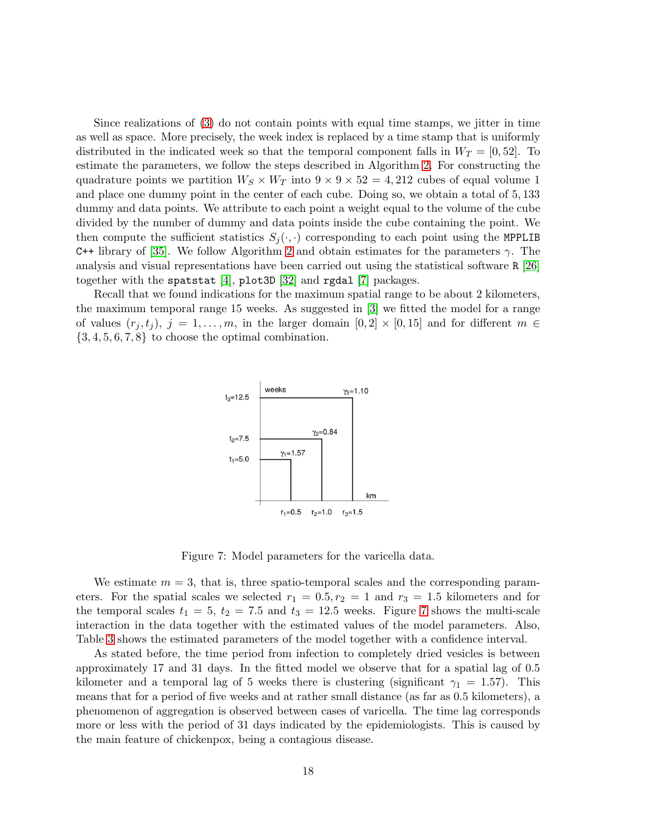Since realizations of [\(3\)](#page-3-2) do not contain points with equal time stamps, we jitter in time as well as space. More precisely, the week index is replaced by a time stamp that is uniformly distributed in the indicated week so that the temporal component falls in  $W_T = [0, 52]$ . To estimate the parameters, we follow the steps described in Algorithm 2. For constructing the quadrature points we partition  $W_S \times W_T$  into  $9 \times 9 \times 52 = 4,212$  cubes of equal volume 1 and place one dummy point in the center of each cube. Doing so, we obtain a total of 5, 133 dummy and data points. We attribute to each point a weight equal to the volume of the cube divided by the number of dummy and data points inside the cube containing the point. We then compute the sufficient statistics  $S_i(\cdot, \cdot)$  corresponding to each point using the MPPLIB C++ library of [\[35\]](#page-22-3). We follow Algorithm 2 and obtain estimates for the parameters  $\gamma$ . The analysis and visual representations have been carried out using the statistical software R [\[26\]](#page-21-12) together with the spatstat [\[4\]](#page-20-7), plot3D [\[32\]](#page-22-7) and rgdal [\[7\]](#page-20-14) packages.

Recall that we found indications for the maximum spatial range to be about 2 kilometers, the maximum temporal range 15 weeks. As suggested in [\[3\]](#page-20-10) we fitted the model for a range of values  $(r_i, t_j), j = 1, \ldots, m$ , in the larger domain  $[0, 2] \times [0, 15]$  and for different  $m \in$  $\{3, 4, 5, 6, 7, 8\}$  to choose the optimal combination.



<span id="page-17-0"></span>Figure 7: Model parameters for the varicella data.

We estimate  $m = 3$ , that is, three spatio-temporal scales and the corresponding parameters. For the spatial scales we selected  $r_1 = 0.5, r_2 = 1$  and  $r_3 = 1.5$  kilometers and for the temporal scales  $t_1 = 5$ ,  $t_2 = 7.5$  $t_2 = 7.5$  $t_2 = 7.5$  and  $t_3 = 12.5$  weeks. Figure 7 shows the multi-scale interaction in the data together with the estimated values of the model parameters. Also, Table [3](#page-18-1) shows the estimated parameters of the model together with a confidence interval.

As stated before, the time period from infection to completely dried vesicles is between approximately 17 and 31 days. In the fitted model we observe that for a spatial lag of 0.5 kilometer and a temporal lag of 5 weeks there is clustering (significant  $\gamma_1 = 1.57$ ). This means that for a period of five weeks and at rather small distance (as far as 0.5 kilometers), a phenomenon of aggregation is observed between cases of varicella. The time lag corresponds more or less with the period of 31 days indicated by the epidemiologists. This is caused by the main feature of chickenpox, being a contagious disease.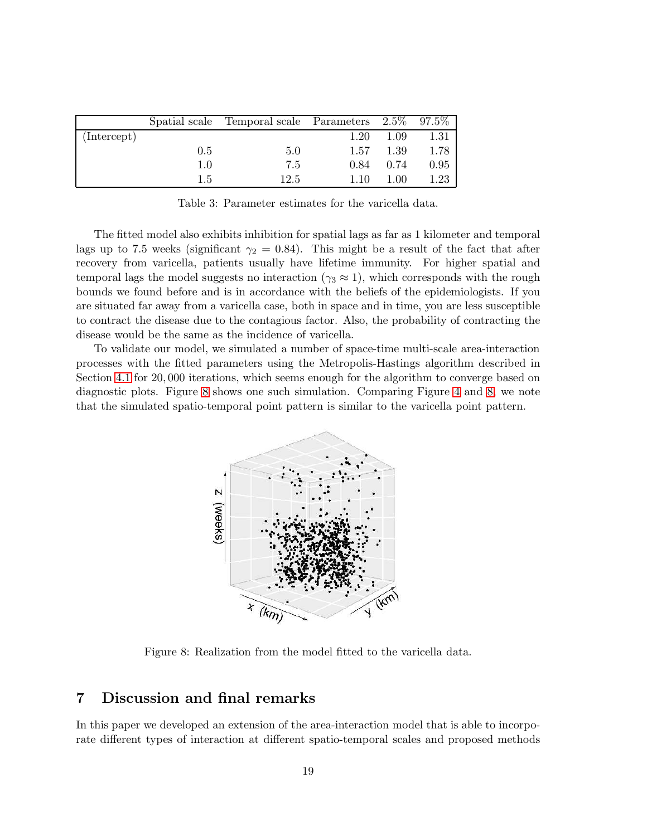|             |     | Spatial scale Temporal scale Parameters $2.5\%$ 97.5% |      |      |      |
|-------------|-----|-------------------------------------------------------|------|------|------|
| (Intercept) |     |                                                       | 1.20 | 1.09 | 1.31 |
|             | 0.5 | 5.0                                                   | 1.57 | 1.39 | 1.78 |
|             | 1.0 | 7.5                                                   | 0.84 | 0.74 | 0.95 |
|             | 1.5 | 12.5                                                  | 1.10 | 1.00 | 1.23 |

<span id="page-18-1"></span>Table 3: Parameter estimates for the varicella data.

The fitted model also exhibits inhibition for spatial lags as far as 1 kilometer and temporal lags up to 7.5 weeks (significant  $\gamma_2 = 0.84$ ). This might be a result of the fact that after recovery from varicella, patients usually have lifetime immunity. For higher spatial and temporal lags the model suggests no interaction ( $\gamma_3 \approx 1$ ), which corresponds with the rough bounds we found before and is in accordance with the beliefs of the epidemiologists. If you are situated far away from a varicella case, both in space and in time, you are less susceptible to contract the disease due to the contagious factor. Also, the probability of contracting the disease would be the same as the incidence of varicella.

To validate our model, we simulated a number of space-time multi-scale area-interaction processes with the fitted parameters using the Metropolis-Hastings algorithm described in Section [4.1](#page-6-1) for 20, 000 iterations, which seems enough for the algorithm to converge based on diagnostic plots. Figure [8](#page-18-2) shows one such simulation. Comparing Figure [4](#page-14-0) and [8,](#page-18-2) we note that the simulated spatio-temporal point pattern is similar to the varicella point pattern.



<span id="page-18-2"></span>Figure 8: Realization from the model fitted to the varicella data.

# <span id="page-18-0"></span>7 Discussion and final remarks

In this paper we developed an extension of the area-interaction model that is able to incorporate different types of interaction at different spatio-temporal scales and proposed methods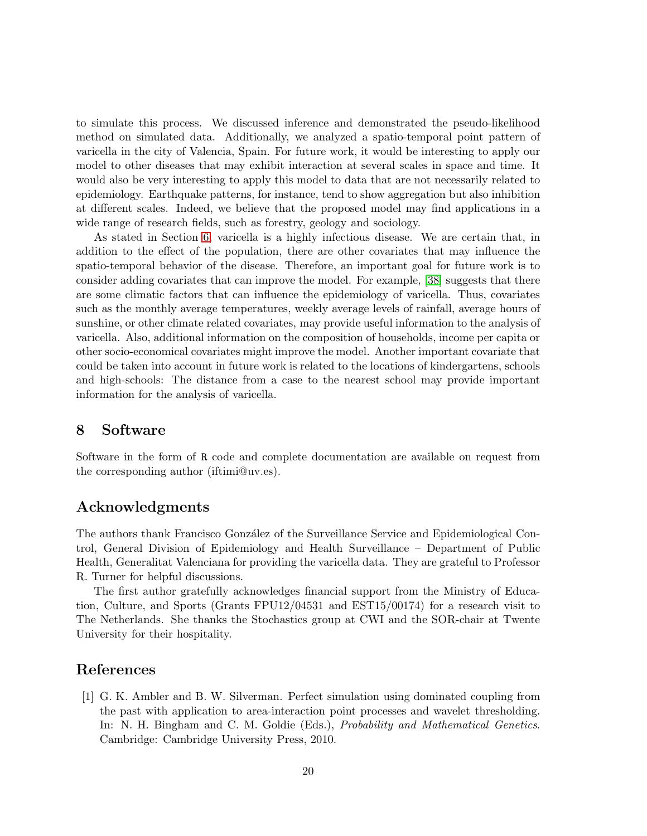to simulate this process. We discussed inference and demonstrated the pseudo-likelihood method on simulated data. Additionally, we analyzed a spatio-temporal point pattern of varicella in the city of Valencia, Spain. For future work, it would be interesting to apply our model to other diseases that may exhibit interaction at several scales in space and time. It would also be very interesting to apply this model to data that are not necessarily related to epidemiology. Earthquake patterns, for instance, tend to show aggregation but also inhibition at different scales. Indeed, we believe that the proposed model may find applications in a wide range of research fields, such as forestry, geology and sociology.

As stated in Section [6,](#page-13-0) varicella is a highly infectious disease. We are certain that, in addition to the effect of the population, there are other covariates that may influence the spatio-temporal behavior of the disease. Therefore, an important goal for future work is to consider adding covariates that can improve the model. For example, [\[38\]](#page-22-5) suggests that there are some climatic factors that can influence the epidemiology of varicella. Thus, covariates such as the monthly average temperatures, weekly average levels of rainfall, average hours of sunshine, or other climate related covariates, may provide useful information to the analysis of varicella. Also, additional information on the composition of households, income per capita or other socio-economical covariates might improve the model. Another important covariate that could be taken into account in future work is related to the locations of kindergartens, schools and high-schools: The distance from a case to the nearest school may provide important information for the analysis of varicella.

### 8 Software

Software in the form of R code and complete documentation are available on request from the corresponding author (iftimi@uv.es).

## Acknowledgments

The authors thank Francisco González of the Surveillance Service and Epidemiological Control, General Division of Epidemiology and Health Surveillance – Department of Public Health, Generalitat Valenciana for providing the varicella data. They are grateful to Professor R. Turner for helpful discussions.

The first author gratefully acknowledges financial support from the Ministry of Education, Culture, and Sports (Grants FPU12/04531 and EST15/00174) for a research visit to The Netherlands. She thanks the Stochastics group at CWI and the SOR-chair at Twente University for their hospitality.

## <span id="page-19-0"></span>References

[1] G. K. Ambler and B. W. Silverman. Perfect simulation using dominated coupling from the past with application to area-interaction point processes and wavelet thresholding. In: N. H. Bingham and C. M. Goldie (Eds.), *Probability and Mathematical Genetics*. Cambridge: Cambridge University Press, 2010.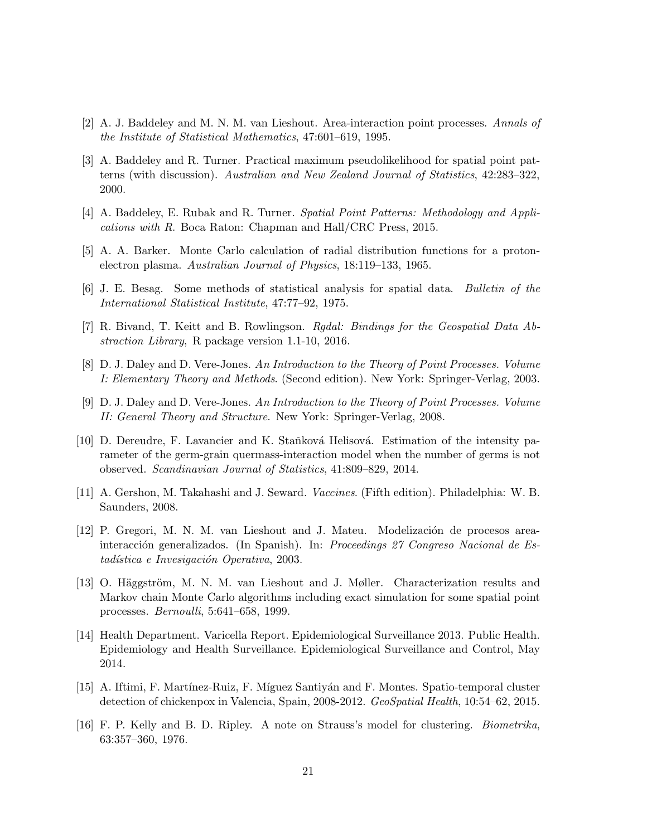- <span id="page-20-10"></span><span id="page-20-1"></span>[2] A. J. Baddeley and M. N. M. van Lieshout. Area-interaction point processes. Annals of the Institute of Statistical Mathematics, 47:601–619, 1995.
- [3] A. Baddeley and R. Turner. Practical maximum pseudolikelihood for spatial point patterns (with discussion). Australian and New Zealand Journal of Statistics, 42:283–322, 2000.
- <span id="page-20-8"></span><span id="page-20-7"></span>[4] A. Baddeley, E. Rubak and R. Turner. Spatial Point Patterns: Methodology and Applications with R. Boca Raton: Chapman and Hall/CRC Press, 2015.
- <span id="page-20-9"></span>[5] A. A. Barker. Monte Carlo calculation of radial distribution functions for a protonelectron plasma. Australian Journal of Physics, 18:119–133, 1965.
- <span id="page-20-14"></span>[6] J. E. Besag. Some methods of statistical analysis for spatial data. Bulletin of the International Statistical Institute, 47:77–92, 1975.
- <span id="page-20-5"></span>[7] R. Bivand, T. Keitt and B. Rowlingson. Rgdal: Bindings for the Geospatial Data Abstraction Library, R package version 1.1-10, 2016.
- <span id="page-20-6"></span>[8] D. J. Daley and D. Vere-Jones. An Introduction to the Theory of Point Processes. Volume I: Elementary Theory and Methods. (Second edition). New York: Springer-Verlag, 2003.
- [9] D. J. Daley and D. Vere-Jones. An Introduction to the Theory of Point Processes. Volume II: General Theory and Structure. New York: Springer-Verlag, 2008.
- <span id="page-20-2"></span>[10] D. Dereudre, F. Lavancier and K. Staňková Helisová. Estimation of the intensity parameter of the germ-grain quermass-interaction model when the number of germs is not observed. Scandinavian Journal of Statistics, 41:809–829, 2014.
- <span id="page-20-11"></span><span id="page-20-4"></span>[11] A. Gershon, M. Takahashi and J. Seward. Vaccines. (Fifth edition). Philadelphia: W. B. Saunders, 2008.
- [12] P. Gregori, M. N. M. van Lieshout and J. Mateu. Modelización de procesos areainteracción generalizados. (In Spanish). In: Proceedings 27 Congreso Nacional de Estadística e Invesigación Operativa, 2003.
- <span id="page-20-3"></span>[13] O. Häggström, M. N. M. van Lieshout and J. Møller. Characterization results and Markov chain Monte Carlo algorithms including exact simulation for some spatial point processes. Bernoulli, 5:641–658, 1999.
- <span id="page-20-12"></span>[14] Health Department. Varicella Report. Epidemiological Surveillance 2013. Public Health. Epidemiology and Health Surveillance. Epidemiological Surveillance and Control, May 2014.
- <span id="page-20-13"></span><span id="page-20-0"></span>[15] A. Iftimi, F. Martínez-Ruiz, F. Míguez Santiyán and F. Montes. Spatio-temporal cluster detection of chickenpox in Valencia, Spain, 2008-2012. GeoSpatial Health, 10:54–62, 2015.
- [16] F. P. Kelly and B. D. Ripley. A note on Strauss's model for clustering. Biometrika, 63:357–360, 1976.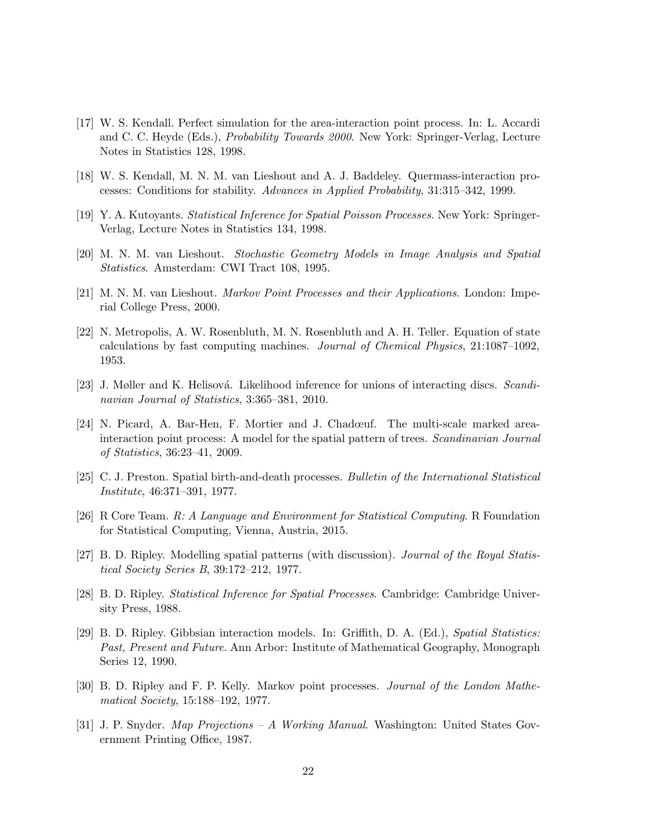- <span id="page-21-4"></span>[17] W. S. Kendall. Perfect simulation for the area-interaction point process. In: L. Accardi and C. C. Heyde (Eds.), Probability Towards 2000. New York: Springer-Verlag, Lecture Notes in Statistics 128, 1998.
- <span id="page-21-13"></span><span id="page-21-3"></span>[18] W. S. Kendall, M. N. M. van Lieshout and A. J. Baddeley. Quermass-interaction processes: Conditions for stability. Advances in Applied Probability, 31:315–342, 1999.
- <span id="page-21-11"></span>[19] Y. A. Kutoyants. Statistical Inference for Spatial Poisson Processes. New York: Springer-Verlag, Lecture Notes in Statistics 134, 1998.
- <span id="page-21-0"></span>[20] M. N. M. van Lieshout. Stochastic Geometry Models in Image Analysis and Spatial Statistics. Amsterdam: CWI Tract 108, 1995.
- <span id="page-21-8"></span>[21] M. N. M. van Lieshout. Markov Point Processes and their Applications. London: Imperial College Press, 2000.
- [22] N. Metropolis, A. W. Rosenbluth, M. N. Rosenbluth and A. H. Teller. Equation of state calculations by fast computing machines. Journal of Chemical Physics, 21:1087–1092, 1953.
- <span id="page-21-6"></span><span id="page-21-5"></span>[23] J. Møller and K. Helisová. Likelihood inference for unions of interacting discs. Scandinavian Journal of Statistics, 3:365–381, 2010.
- [24] N. Picard, A. Bar-Hen, F. Mortier and J. Chadœuf. The multi-scale marked areainteraction point process: A model for the spatial pattern of trees. Scandinavian Journal of Statistics, 36:23–41, 2009.
- <span id="page-21-12"></span><span id="page-21-9"></span>[25] C. J. Preston. Spatial birth-and-death processes. Bulletin of the International Statistical Institute, 46:371–391, 1977.
- <span id="page-21-10"></span>[26] R Core Team. R: A Language and Environment for Statistical Computing. R Foundation for Statistical Computing, Vienna, Austria, 2015.
- <span id="page-21-1"></span>[27] B. D. Ripley. Modelling spatial patterns (with discussion). Journal of the Royal Statistical Society Series B, 39:172–212, 1977.
- [28] B. D. Ripley. Statistical Inference for Spatial Processes. Cambridge: Cambridge University Press, 1988.
- <span id="page-21-2"></span>[29] B. D. Ripley. Gibbsian interaction models. In: Griffith, D. A. (Ed.), Spatial Statistics: Past, Present and Future. Ann Arbor: Institute of Mathematical Geography, Monograph Series 12, 1990.
- <span id="page-21-7"></span>[30] B. D. Ripley and F. P. Kelly. Markov point processes. Journal of the London Mathematical Society, 15:188–192, 1977.
- <span id="page-21-14"></span>[31] J. P. Snyder. Map Projections – A Working Manual. Washington: United States Government Printing Office, 1987.